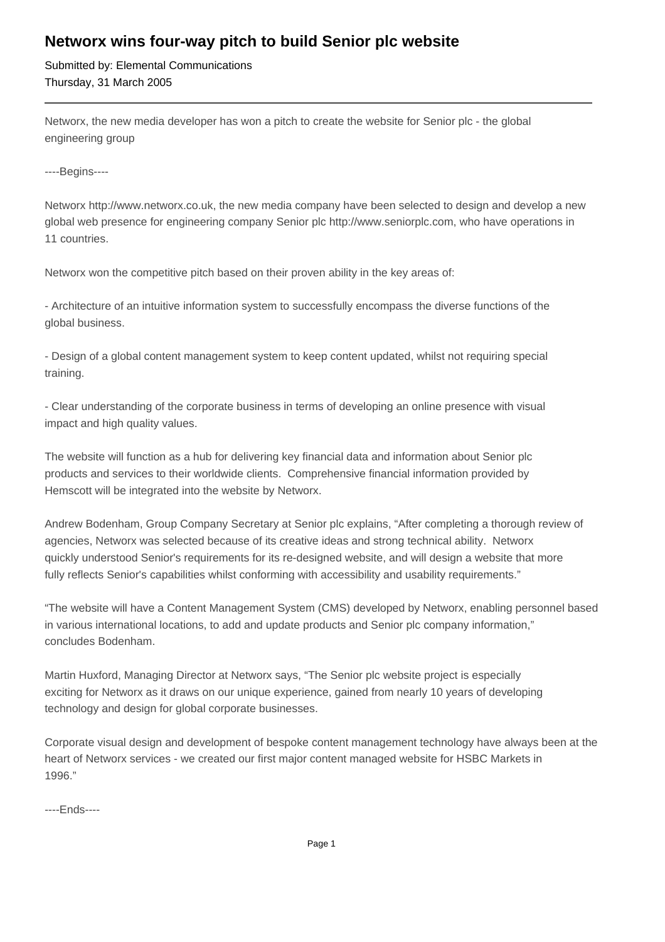## **Networx wins four-way pitch to build Senior plc website**

Submitted by: Elemental Communications Thursday, 31 March 2005

Networx, the new media developer has won a pitch to create the website for Senior plc - the global engineering group

----Begins----

Networx http://www.networx.co.uk, the new media company have been selected to design and develop a new global web presence for engineering company Senior plc http://www.seniorplc.com, who have operations in 11 countries.

Networx won the competitive pitch based on their proven ability in the key areas of:

- Architecture of an intuitive information system to successfully encompass the diverse functions of the global business.

- Design of a global content management system to keep content updated, whilst not requiring special training.

- Clear understanding of the corporate business in terms of developing an online presence with visual impact and high quality values.

The website will function as a hub for delivering key financial data and information about Senior plc products and services to their worldwide clients. Comprehensive financial information provided by Hemscott will be integrated into the website by Networx.

Andrew Bodenham, Group Company Secretary at Senior plc explains, "After completing a thorough review of agencies, Networx was selected because of its creative ideas and strong technical ability. Networx quickly understood Senior's requirements for its re-designed website, and will design a website that more fully reflects Senior's capabilities whilst conforming with accessibility and usability requirements."

"The website will have a Content Management System (CMS) developed by Networx, enabling personnel based in various international locations, to add and update products and Senior plc company information," concludes Bodenham.

Martin Huxford, Managing Director at Networx says, "The Senior plc website project is especially exciting for Networx as it draws on our unique experience, gained from nearly 10 years of developing technology and design for global corporate businesses.

Corporate visual design and development of bespoke content management technology have always been at the heart of Networx services - we created our first major content managed website for HSBC Markets in 1996."

----Ends----